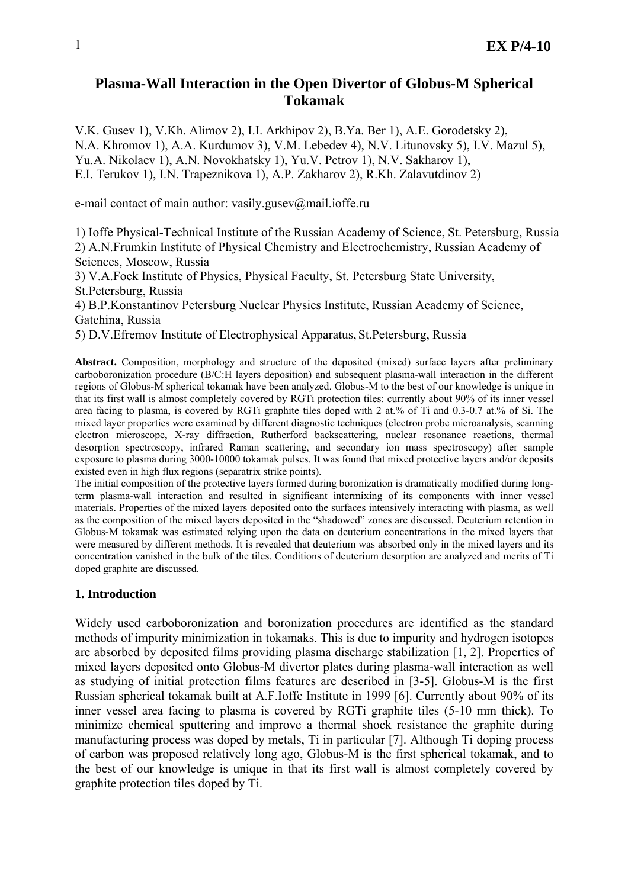# **Plasma-Wall Interaction in the Open Divertor of Globus-M Spherical Tokamak**

V.K. Gusev 1), V.Kh. Alimov 2), I.I. Arkhipov 2), B.Ya. Ber 1), A.E. Gorodetsky 2), N.A. Khromov 1), A.A. Kurdumov 3), V.M. Lebedev 4), N.V. Litunovsky 5), I.V. Mazul 5), Yu.A. Nikolaev 1), A.N. Novokhatsky 1), Yu.V. Petrov 1), N.V. Sakharov 1), E.I. Terukov 1), I.N. Trapeznikova 1), A.P. Zakharov 2), R.Kh. Zalavutdinov 2)

e-mail contact of main author: vasily.gusev@mail.ioffe.ru

1) Ioffe Physical-Technical Institute of the Russian Academy of Science, St. Petersburg, Russia 2) A.N.Frumkin Institute of Physical Chemistry and Electrochemistry, Russian Academy of Sciences, Moscow, Russia

3) V.A.Fock Institute of Physics, Physical Faculty, St. Petersburg State University, St.Petersburg, Russia

4) B.P.Konstantinov Petersburg Nuclear Physics Institute, Russian Academy of Science, Gatchina, Russia

5) D.V.Efremov Institute of Electrophysical Apparatus, St.Petersburg, Russia

**Abstract.** Composition, morphology and structure of the deposited (mixed) surface layers after preliminary carboboronization procedure (B/C:H layers deposition) and subsequent plasma-wall interaction in the different regions of Globus-M spherical tokamak have been analyzed. Globus-M to the best of our knowledge is unique in that its first wall is almost completely covered by RGTi protection tiles: currently about 90% of its inner vessel area facing to plasma, is covered by RGTi graphite tiles doped with 2 at.% of Ti and 0.3-0.7 at.% of Si. The mixed layer properties were examined by different diagnostic techniques (electron probe microanalysis, scanning electron microscope, X-ray diffraction, Rutherford backscattering, nuclear resonance reactions, thermal desorption spectroscopy, infrared Raman scattering, and secondary ion mass spectroscopy) after sample exposure to plasma during 3000-10000 tokamak pulses. It was found that mixed protective layers and/or deposits existed even in high flux regions (separatrix strike points).

The initial composition of the protective layers formed during boronization is dramatically modified during longterm plasma-wall interaction and resulted in significant intermixing of its components with inner vessel materials. Properties of the mixed layers deposited onto the surfaces intensively interacting with plasma, as well as the composition of the mixed layers deposited in the "shadowed" zones are discussed. Deuterium retention in Globus-M tokamak was estimated relying upon the data on deuterium concentrations in the mixed layers that were measured by different methods. It is revealed that deuterium was absorbed only in the mixed layers and its concentration vanished in the bulk of the tiles. Conditions of deuterium desorption are analyzed and merits of Ti doped graphite are discussed.

## **1. Introduction**

Widely used carboboronization and boronization procedures are identified as the standard methods of impurity minimization in tokamaks. This is due to impurity and hydrogen isotopes are absorbed by deposited films providing plasma discharge stabilization [1, 2]. Properties of mixed layers deposited onto Globus-M divertor plates during plasma-wall interaction as well as studying of initial protection films features are described in [3-5]. Globus-M is the first Russian spherical tokamak built at A.F.Ioffe Institute in 1999 [6]. Currently about 90% of its inner vessel area facing to plasma is covered by RGTi graphite tiles (5-10 mm thick). To minimize chemical sputtering and improve a thermal shock resistance the graphite during manufacturing process was doped by metals, Ti in particular [7]. Although Ti doping process of carbon was proposed relatively long ago, Globus-M is the first spherical tokamak, and to the best of our knowledge is unique in that its first wall is almost completely covered by graphite protection tiles doped by Ti.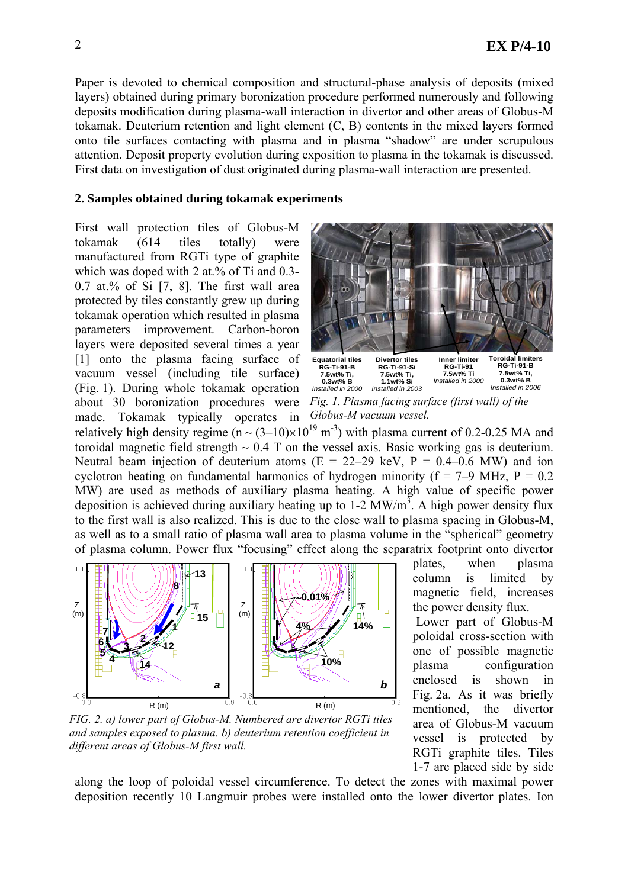Paper is devoted to chemical composition and structural-phase analysis of deposits (mixed layers) obtained during primary boronization procedure performed numerously and following deposits modification during plasma-wall interaction in divertor and other areas of Globus-M tokamak. Deuterium retention and light element (C, B) contents in the mixed layers formed onto tile surfaces contacting with plasma and in plasma "shadow" are under scrupulous attention. Deposit property evolution during exposition to plasma in the tokamak is discussed. First data on investigation of dust originated during plasma-wall interaction are presented.

#### **2. Samples obtained during tokamak experiments**

First wall protection tiles of Globus-M tokamak (614 tiles totally) were manufactured from RGTi type of graphite which was doped with 2 at.% of Ti and 0.3- $0.7$  at.% of Si  $[7, 8]$ . The first wall area protected by tiles constantly grew up during tokamak operation which resulted in plasma parameters improvement. Carbon-boron layers were deposited several times a year [1] onto the plasma facing surface of vacuum vessel (including tile surface) (Fig. 1). During whole tokamak operation about 30 boronization procedures were made. Tokamak typically operates in



*Fig. 1. Plasma facing surface (first wall) of the Globus-M vacuum vessel.* 

relatively high density regime  $(n \sim (3-10) \times 10^{19} \text{ m}^3)$  with plasma current of 0.2-0.25 MA and toroidal magnetic field strength  $\sim 0.4$  T on the vessel axis. Basic working gas is deuterium. Neutral beam injection of deuterium atoms  $(E = 22-29 \text{ keV}, P = 0.4-0.6 \text{ MW})$  and ion cyclotron heating on fundamental harmonics of hydrogen minority ( $f = 7-9$  MHz,  $P = 0.2$ ) MW) are used as methods of auxiliary plasma heating. A high value of specific power deposition is achieved during auxiliary heating up to  $1-2$  MW/m<sup>3</sup>. A high power density flux to the first wall is also realized. This is due to the close wall to plasma spacing in Globus-M, as well as to a small ratio of plasma wall area to plasma volume in the "spherical" geometry of plasma column. Power flux "focusing" effect along the separatrix footprint onto divertor



*FIG. 2. a) lower part of Globus-M. Numbered are divertor RGTi tiles and samples exposed to plasma. b) deuterium retention coefficient in different areas of Globus-M first wall.* 

plates, when plasma column is limited by magnetic field, increases the power density flux.

 Lower part of Globus-M poloidal cross-section with one of possible magnetic plasma configuration enclosed is shown in Fig. 2a. As it was briefly mentioned, the divertor area of Globus-M vacuum vessel is protected by RGTi graphite tiles. Tiles 1-7 are placed side by side

along the loop of poloidal vessel circumference. To detect the zones with maximal power deposition recently 10 Langmuir probes were installed onto the lower divertor plates. Ion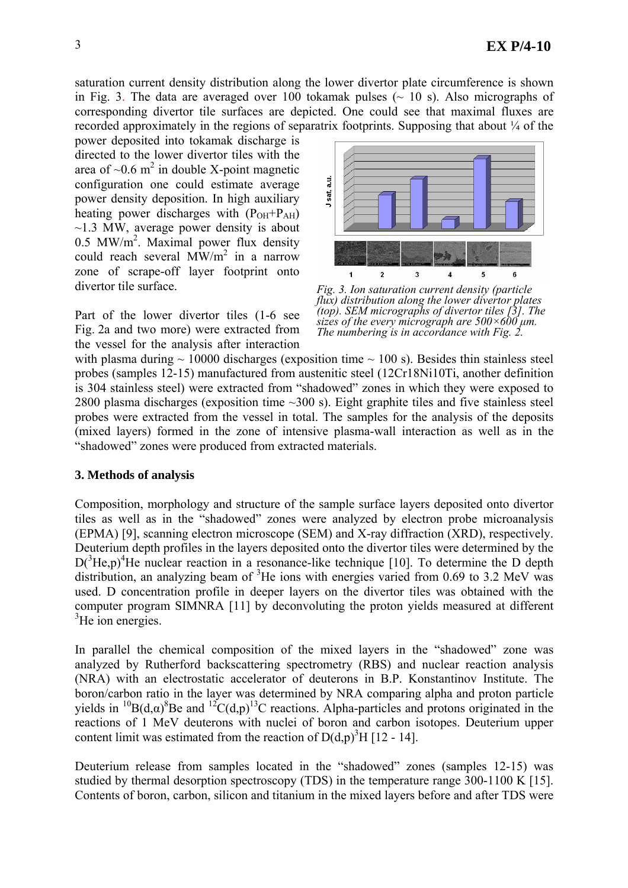saturation current density distribution along the lower divertor plate circumference is shown in Fig. 3. The data are averaged over 100 tokamak pulses  $\sim$  10 s). Also micrographs of corresponding divertor tile surfaces are depicted. One could see that maximal fluxes are recorded approximately in the regions of separatrix footprints. Supposing that about  $\frac{1}{4}$  of the

power deposited into tokamak discharge is directed to the lower divertor tiles with the area of  $\sim 0.6$  m<sup>2</sup> in double X-point magnetic configuration one could estimate average power density deposition. In high auxiliary heating power discharges with  $(P<sub>OH</sub>+P<sub>AH</sub>)$  $\sim$ 1.3 MW, average power density is about 0.5 MW/m<sup>2</sup>. Maximal power flux density could reach several  $\text{MW/m}^2$  in a narrow zone of scrape-off layer footprint onto divertor tile surface.

Part of the lower divertor tiles (1-6 see Fig. 2a and two more) were extracted from the vessel for the analysis after interaction



*Fig. 3. Ion saturation current density (particle flux) distribution along the lower divertor plates (top). SEM micrographs of divertor tiles [3]. The sizes of the every micrograph are 500×600 µm. The numbering is in accordance with Fig. 2.*

with plasma during  $\sim 10000$  discharges (exposition time  $\sim 100$  s). Besides thin stainless steel probes (samples 12-15) manufactured from austenitic steel (12Cr18Ni10Тi, another definition is 304 stainless steel) were extracted from "shadowed" zones in which they were exposed to 2800 plasma discharges (exposition time ~300 s). Eight graphite tiles and five stainless steel probes were extracted from the vessel in total. The samples for the analysis of the deposits (mixed layers) formed in the zone of intensive plasma-wall interaction as well as in the "shadowed" zones were produced from extracted materials.

### **3. Methods of analysis**

Composition, morphology and structure of the sample surface layers deposited onto divertor tiles as well as in the "shadowed" zones were analyzed by electron probe microanalysis (EPMA) [9], scanning electron microscope (SEM) and X-ray diffraction (XRD), respectively. Deuterium depth profiles in the layers deposited onto the divertor tiles were determined by the  $D(^{3}He,p)^{4}He$  nuclear reaction in a resonance-like technique [10]. To determine the D depth distribution, an analyzing beam of  ${}^{3}$ He ions with energies varied from 0.69 to 3.2 MeV was used. D concentration profile in deeper layers on the divertor tiles was obtained with the computer program SIMNRA [11] by deconvoluting the proton yields measured at different  ${}^{3}$ He ion energies.

In parallel the chemical composition of the mixed layers in the "shadowed" zone was analyzed by Rutherford backscattering spectrometry (RBS) and nuclear reaction analysis (NRA) with an electrostatic accelerator of deuterons in B.P. Konstantinov Institute. The boron/carbon ratio in the layer was determined by NRA comparing alpha and proton particle yields in <sup>10</sup>B(d, $\alpha$ )<sup>8</sup>Be and <sup>12</sup>C(d,p)<sup>13</sup>C reactions. Alpha-particles and protons originated in the reactions of 1 MeV deuterons with nuclei of boron and carbon isotopes. Deuterium upper content limit was estimated from the reaction of  $D(d,p)^3H$  [12 - 14].

Deuterium release from samples located in the "shadowed" zones (samples 12-15) was studied by thermal desorption spectroscopy (TDS) in the temperature range 300-1100 K [15]. Contents of boron, carbon, silicon and titanium in the mixed layers before and after TDS were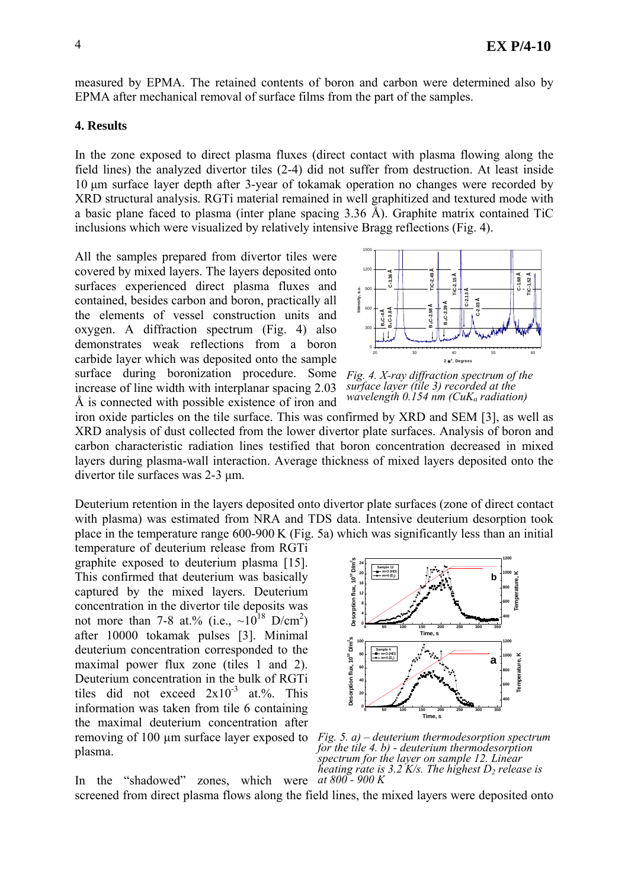measured by EPMA. The retained contents of boron and carbon were determined also by EPMA after mechanical removal of surface films from the part of the samples.

#### **4. Results**

In the zone exposed to direct plasma fluxes (direct contact with plasma flowing along the field lines) the analyzed divertor tiles (2-4) did not suffer from destruction. At least inside 10 µm surface layer depth after 3-year of tokamak operation no changes were recorded by XRD structural analysis. RGTi material remained in well graphitized and textured mode with a basic plane faced to plasma (inter plane spacing 3.36 Å). Graphite matrix contained TiC inclusions which were visualized by relatively intensive Bragg reflections (Fig. 4).

All the samples prepared from divertor tiles were covered by mixed layers. The layers deposited onto surfaces experienced direct plasma fluxes and contained, besides carbon and boron, practically all the elements of vessel construction units and oxygen. A diffraction spectrum (Fig. 4) also demonstrates weak reflections from a boron carbide layer which was deposited onto the sample surface during boronization procedure. Some increase of line width with interplanar spacing 2.03 Å is connected with possible existence of iron and



*Fig. 4. X-ray diffraction spectrum of the surface layer (tile 3) recorded at the wavelength 0.154 nm (CuKα radiation)* 

iron oxide particles on the tile surface. This was confirmed by XRD and SEM [3], as well as XRD analysis of dust collected from the lower divertor plate surfaces. Analysis of boron and carbon characteristic radiation lines testified that boron concentration decreased in mixed layers during plasma-wall interaction. Average thickness of mixed layers deposited onto the divertor tile surfaces was 2-3 µm.

Deuterium retention in the layers deposited onto divertor plate surfaces (zone of direct contact with plasma) was estimated from NRA and TDS data. Intensive deuterium desorption took place in the temperature range 600-900 K (Fig. 5a) which was significantly less than an initial

*Fig. 5. а) – deuterium thermodesorption spectrum*  removing of 100 µm surface layer exposed to temperature of deuterium release from RGTi graphite exposed to deuterium plasma [15]. This confirmed that deuterium was basically captured by the mixed layers. Deuterium concentration in the divertor tile deposits was not more than 7-8 at.% (i.e.,  $\sim 10^{18}$  D/cm<sup>2</sup>) after 10000 tokamak pulses [3]. Minimal deuterium concentration corresponded to the maximal power flux zone (tiles 1 and 2). Deuterium concentration in the bulk of RGTi tiles did not exceed  $2x10^{-3}$  at.%. This information was taken from tile 6 containing the maximal deuterium concentration after plasma.



*for the tile 4. b) - deuterium thermodesorption spectrum for the layer on sample 12. Linear heating rate is 3.2 K/s. The highest D<sub>2</sub> release is* In the "shadowed" zones, which were  $at\,800 - 900\,K$ 

screened from direct plasma flows along the field lines, the mixed layers were deposited onto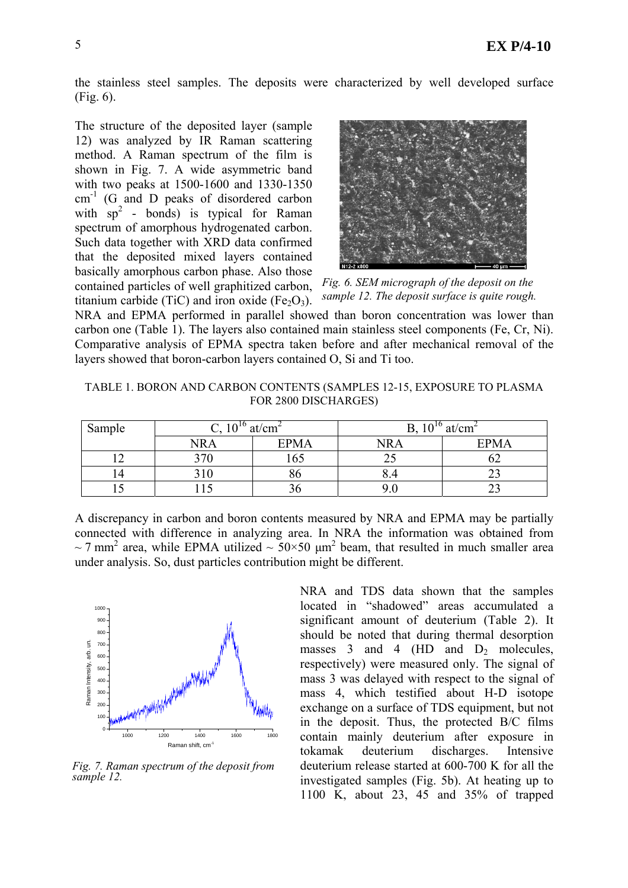the stainless steel samples. The deposits were characterized by well developed surface (Fig. 6).

The structure of the deposited layer (sample 12) was analyzed by IR Raman scattering method. A Raman spectrum of the film is shown in Fig. 7. A wide asymmetric band with two peaks at 1500-1600 and 1330-1350 cm<sup>-1</sup> (G and D peaks of disordered carbon with  $sp^2$  - bonds) is typical for Raman spectrum of amorphous hydrogenated carbon. Such data together with XRD data confirmed that the deposited mixed layers contained basically amorphous carbon phase. Also those contained particles of well graphitized carbon, titanium carbide (TiC) and iron oxide (Fe<sub>2</sub>O<sub>3</sub>).



*Fig. 6. SEM micrograph of the deposit on the sample 12. The deposit surface is quite rough.* 

NRA and EPMA performed in parallel showed than boron concentration was lower than carbon one (Table 1). The layers also contained main stainless steel components (Fe, Cr, Ni). Comparative analysis of EPMA spectra taken before and after mechanical removal of the layers showed that boron-carbon layers contained O, Si and Ti too.

TABLE 1. BORON AND CARBON CONTENTS (SAMPLES 12-15, EXPOSURE TO PLASMA FOR 2800 DISCHARGES)

| Sample | $10^{10}$<br>at/cm <sup>2</sup><br>∪. ⊥∪ |             | 1 $\bigcap$ 10<br>at/cm <sup>2</sup><br>◡ |             |  |
|--------|------------------------------------------|-------------|-------------------------------------------|-------------|--|
|        | <b>NRA</b>                               | <b>EPMA</b> | <b>NRA</b>                                | <b>EPMA</b> |  |
|        | 370                                      | 165         |                                           | ∪∠          |  |
| 14     |                                          | გი          |                                           | ∸-          |  |
|        |                                          |             |                                           | ت سے        |  |

A discrepancy in carbon and boron contents measured by NRA and EPMA may be partially connected with difference in analyzing area. In NRA the information was obtained from  $\sim$  7 mm<sup>2</sup> area, while EPMA utilized  $\sim$  50×50 µm<sup>2</sup> beam, that resulted in much smaller area under analysis. So, dust particles contribution might be different.



*Fig. 7. Raman spectrum of the deposit from sample 12.* 

NRA and TDS data shown that the samples located in "shadowed" areas accumulated a significant amount of deuterium (Table 2). It should be noted that during thermal desorption masses 3 and 4 (HD and  $D_2$  molecules, respectively) were measured only. The signal of mass 3 was delayed with respect to the signal of mass 4, which testified about H-D isotope exchange on a surface of TDS equipment, but not in the deposit. Thus, the protected B/C films contain mainly deuterium after exposure in tokamak deuterium discharges. Intensive deuterium release started at 600-700 K for all the investigated samples (Fig. 5b). At heating up to 1100 K, about 23, 45 and 35% of trapped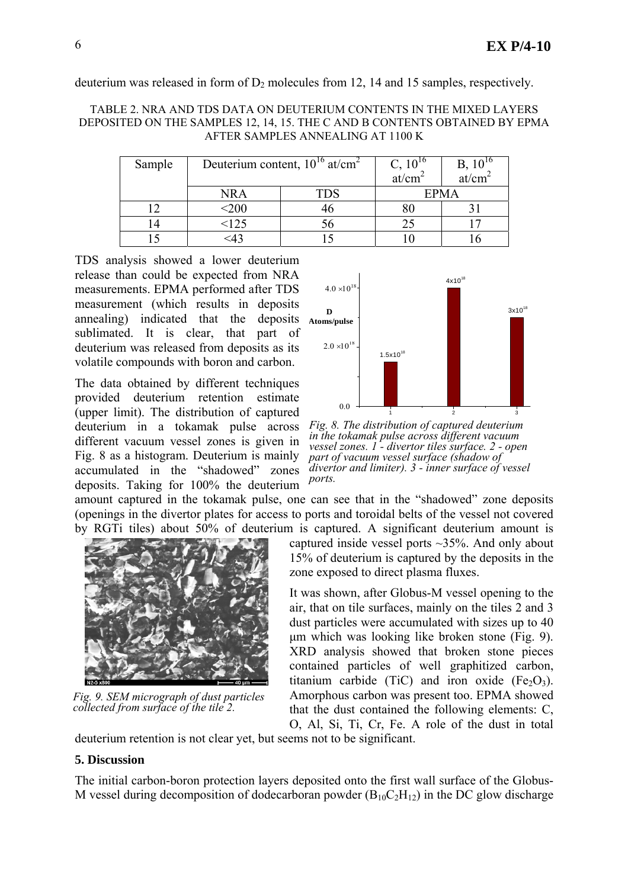deuterium was released in form of  $D_2$  molecules from 12, 14 and 15 samples, respectively.

#### TABLE 2. NRA AND TDS DATA ON DEUTERIUM CONTENTS IN THE MIXED LAYERS DEPOSITED ON THE SAMPLES 12, 14, 15. THE C AND B CONTENTS OBTAINED BY EPMA AFTER SAMPLES ANNEALING AT 1100 K

| Sample | Deuterium content, $10^{16}$ at/cm <sup>2</sup> |     | $C, 10^{16}$<br>at/cm | $B, 10^{16}$<br>at/cm <sup>2</sup> |
|--------|-------------------------------------------------|-----|-----------------------|------------------------------------|
|        | <b>NRA</b>                                      | TDS | <b>EPMA</b>           |                                    |
|        | 200                                             |     |                       |                                    |
|        | <125                                            |     |                       |                                    |
|        |                                                 |     |                       |                                    |

TDS analysis showed a lower deuterium release than could be expected from NRA measurements. EPMA performed after TDS measurement (which results in deposits annealing) indicated that the deposits sublimated. It is clear, that part of deuterium was released from deposits as its volatile compounds with boron and carbon.

The data obtained by different techniques provided deuterium retention estimate (upper limit). The distribution of captured deuterium in a tokamak pulse across different vacuum vessel zones is given in Fig. 8 as a histogram. Deuterium is mainly accumulated in the "shadowed" zones deposits. Taking for 100% the deuterium



*Fig. 8. The distribution of captured deuterium in the tokamak pulse across different vacuum vessel zones. 1 - divertor tiles surface. 2 - open part of vacuum vessel surface (shadow of divertor and limiter). 3 - inner surface of vessel ports.*

amount captured in the tokamak pulse, one can see that in the "shadowed" zone deposits (openings in the divertor plates for access to ports and toroidal belts of the vessel not covered by RGTi tiles) about 50% of deuterium is captured. A significant deuterium amount is



*Fig. 9. SEM micrograph of dust particles collected from surface of the tile 2.* 

captured inside vessel ports ~35%. And only about 15% of deuterium is captured by the deposits in the zone exposed to direct plasma fluxes.

It was shown, after Globus-M vessel opening to the air, that on tile surfaces, mainly on the tiles 2 and 3 dust particles were accumulated with sizes up to 40 µm which was looking like broken stone (Fig. 9). XRD analysis showed that broken stone pieces contained particles of well graphitized carbon, titanium carbide (TiC) and iron oxide  $(Fe<sub>2</sub>O<sub>3</sub>)$ . Amorphous carbon was present too. EPMA showed that the dust contained the following elements: C, O, Al, Si, Ti, Cr, Fe. A role of the dust in total

deuterium retention is not clear yet, but seems not to be significant.

## **5. Discussion**

The initial carbon-boron protection layers deposited onto the first wall surface of the Globus-M vessel during decomposition of dodecarboran powder  $(B_{10}C_2H_{12})$  in the DC glow discharge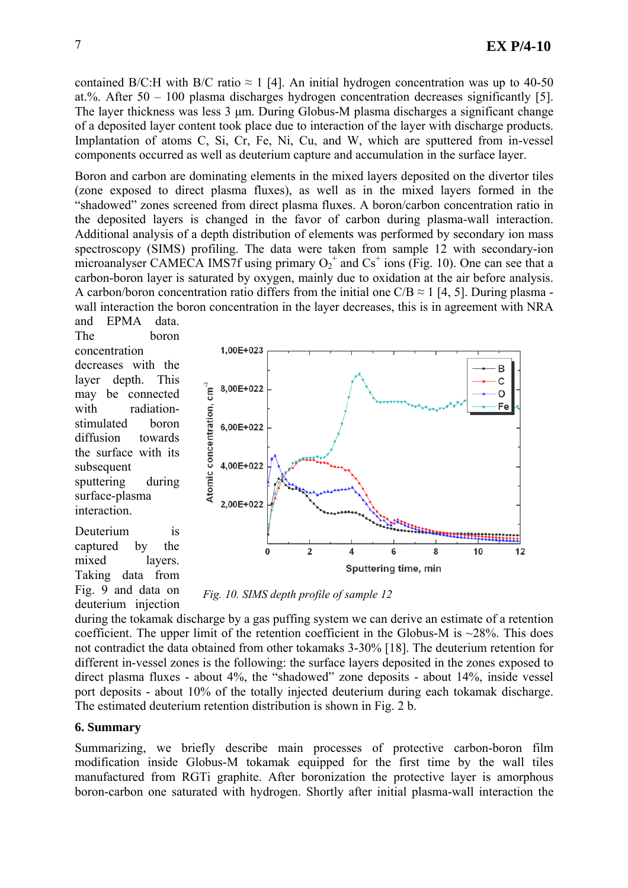contained B/C:H with B/C ratio  $\approx 1$  [4]. An initial hydrogen concentration was up to 40-50 at.%. After 50 – 100 plasma discharges hydrogen concentration decreases significantly [5]. The layer thickness was less 3 µm. During Globus-M plasma discharges a significant change of a deposited layer content took place due to interaction of the layer with discharge products. Implantation of atoms C, Si, Cr, Fe, Ni, Cu, and W, which are sputtered from in-vessel components occurred as well as deuterium capture and accumulation in the surface layer.

Boron and carbon are dominating elements in the mixed layers deposited on the divertor tiles (zone exposed to direct plasma fluxes), as well as in the mixed layers formed in the "shadowed" zones screened from direct plasma fluxes. A boron/carbon concentration ratio in the deposited layers is changed in the favor of carbon during plasma-wall interaction. Additional analysis of a depth distribution of elements was performed by secondary ion mass spectroscopy (SIMS) profiling. The data were taken from sample 12 with secondary-ion microanalyser CAMECA IMS7f using primary  $O_2^+$  and  $Cs^+$  ions (Fig. 10). One can see that a carbon-boron layer is saturated by oxygen, mainly due to oxidation at the air before analysis. A carbon/boron concentration ratio differs from the initial one  $C/B \approx 1$  [4, 5]. During plasma wall interaction the boron concentration in the layer decreases, this is in agreement with NRA

and EPMA data. The boron concentration decreases with the layer depth. This may be connected with radiationstimulated boron diffusion towards the surface with its subsequent sputtering during surface-plasma interaction.

Deuterium is captured by the mixed layers. Taking data from Fig. 9 and data on deuterium injection



 *Fig. 10. SIMS depth profile of sample 12* 

during the tokamak discharge by a gas puffing system we can derive an estimate of a retention coefficient. The upper limit of the retention coefficient in the Globus-M is  $\sim$ 28%. This does not contradict the data obtained from other tokamaks 3-30% [18]. The deuterium retention for different in-vessel zones is the following: the surface layers deposited in the zones exposed to direct plasma fluxes - about 4%, the "shadowed" zone deposits - about 14%, inside vessel port deposits - about 10% of the totally injected deuterium during each tokamak discharge. The estimated deuterium retention distribution is shown in Fig. 2 b.

### **6. Summary**

Summarizing, we briefly describe main processes of protective carbon-boron film modification inside Globus-M tokamak equipped for the first time by the wall tiles manufactured from RGTi graphite. After boronization the protective layer is amorphous boron-carbon one saturated with hydrogen. Shortly after initial plasma-wall interaction the